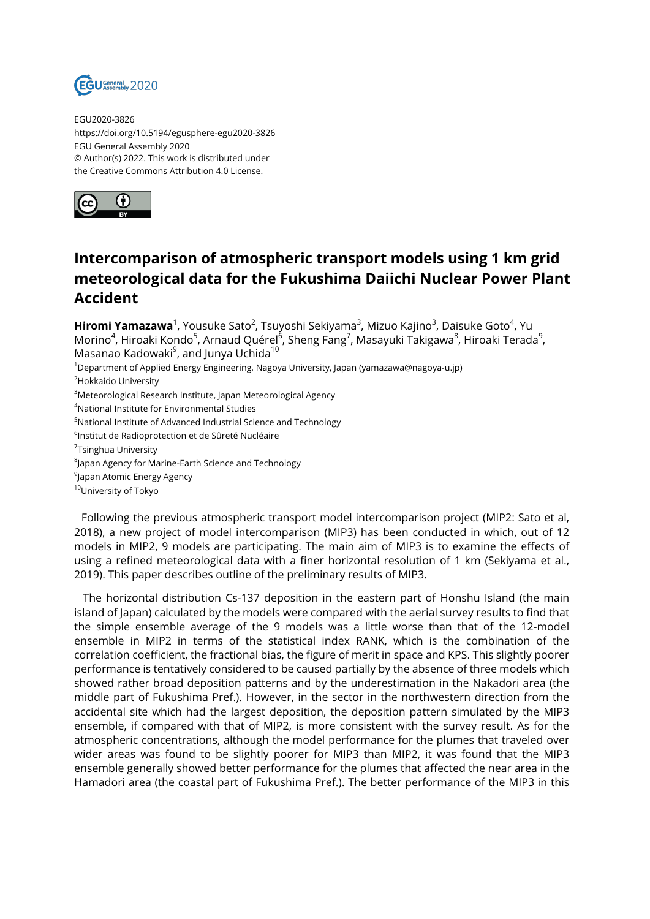

EGU2020-3826 https://doi.org/10.5194/egusphere-egu2020-3826 EGU General Assembly 2020 © Author(s) 2022. This work is distributed under the Creative Commons Attribution 4.0 License.



## **Intercomparison of atmospheric transport models using 1 km grid meteorological data for the Fukushima Daiichi Nuclear Power Plant Accident**

**Hiromi Yamazawa**<sup>1</sup>, Yousuke Sato<sup>2</sup>, Tsuyoshi Sekiyama<sup>3</sup>, Mizuo Kajino<sup>3</sup>, Daisuke Goto<sup>4</sup>, Yu Morino<sup>4</sup>, Hiroaki Kondo<sup>5</sup>, Arnaud Quérel<sup>6</sup>, Sheng Fang<sup>7</sup>, Masayuki Takigawa<sup>8</sup>, Hiroaki Terada<sup>9</sup>, Masanao Kadowaki<sup>9</sup>, and Junya Uchida<sup>10</sup>

<sup>1</sup>Department of Applied Energy Engineering, Nagoya University, Japan (yamazawa@nagoya-u.jp)

<sup>2</sup>Hokkaido University

<sup>3</sup>Meteorological Research Institute, Japan Meteorological Agency

<sup>4</sup>National Institute for Environmental Studies

<sup>5</sup>National Institute of Advanced Industrial Science and Technology

<sup>6</sup>lnstitut de Radioprotection et de Sûreté Nucléaire

<sup>7</sup>Tsinghua University

 $^8$ Japan Agency for Marine-Earth Science and Technology

 $^9$ Japan Atomic Energy Agency

10University of Tokyo

Following the previous atmospheric transport model intercomparison project (MIP2: Sato et al, 2018), a new project of model intercomparison (MIP3) has been conducted in which, out of 12 models in MIP2, 9 models are participating. The main aim of MIP3 is to examine the effects of using a refined meteorological data with a finer horizontal resolution of 1 km (Sekiyama et al., 2019). This paper describes outline of the preliminary results of MIP3.

The horizontal distribution Cs-137 deposition in the eastern part of Honshu Island (the main island of Japan) calculated by the models were compared with the aerial survey results to find that the simple ensemble average of the 9 models was a little worse than that of the 12-model ensemble in MIP2 in terms of the statistical index RANK, which is the combination of the correlation coefficient, the fractional bias, the figure of merit in space and KPS. This slightly poorer performance is tentatively considered to be caused partially by the absence of three models which showed rather broad deposition patterns and by the underestimation in the Nakadori area (the middle part of Fukushima Pref.). However, in the sector in the northwestern direction from the accidental site which had the largest deposition, the deposition pattern simulated by the MIP3 ensemble, if compared with that of MIP2, is more consistent with the survey result. As for the atmospheric concentrations, although the model performance for the plumes that traveled over wider areas was found to be slightly poorer for MIP3 than MIP2, it was found that the MIP3 ensemble generally showed better performance for the plumes that affected the near area in the Hamadori area (the coastal part of Fukushima Pref.). The better performance of the MIP3 in this